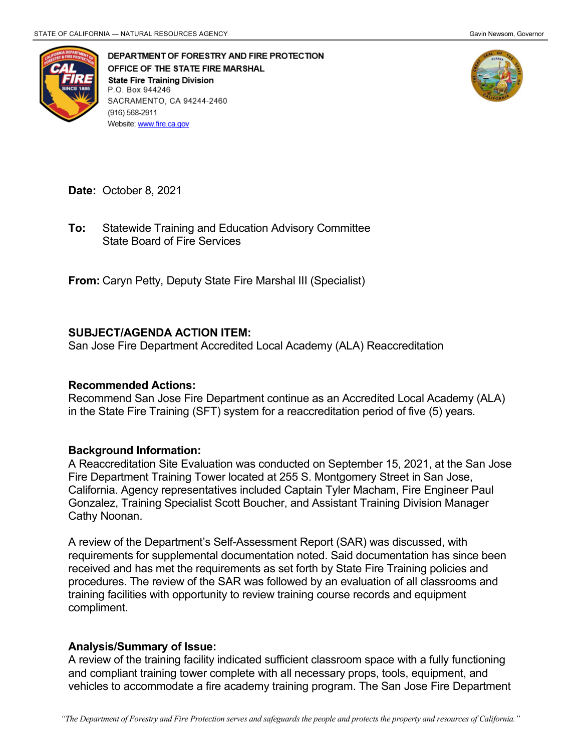

DEPARTMENT OF FORESTRY AND FIRE PROTECTION OFFICE OF THE STATE FIRE MARSHAL **State Fire Training Division** P.O. Box 944246 SACRAMENTO, CA 94244-2460 (916) 568-2911 Website: www.fire.ca.gov



**Date:** October 8, 2021

 State Board of Fire Services **To:** Statewide Training and Education Advisory Committee

**From:** Caryn Petty, Deputy State Fire Marshal III (Specialist)

## **SUBJECT/AGENDA ACTION ITEM:**

San Jose Fire Department Accredited Local Academy (ALA) Reaccreditation

## **Recommended Actions:**

 in the State Fire Training (SFT) system for a reaccreditation period of five (5) years. Recommend San Jose Fire Department continue as an Accredited Local Academy (ALA)

## **Background Information:**

 Fire Department Training Tower located at 255 S. Montgomery Street in San Jose, California. Agency representatives included Captain Tyler Macham, Fire Engineer Paul A Reaccreditation Site Evaluation was conducted on September 15, 2021, at the San Jose Gonzalez, Training Specialist Scott Boucher, and Assistant Training Division Manager Cathy Noonan.

 A review of the Department's Self-Assessment Report (SAR) was discussed, with requirements for supplemental documentation noted. Said documentation has since been received and has met the requirements as set forth by State Fire Training policies and procedures. The review of the SAR was followed by an evaluation of all classrooms and training facilities with opportunity to review training course records and equipment compliment.

## **Analysis/Summary of Issue:**

 A review of the training facility indicated sufficient classroom space with a fully functioning and compliant training tower complete with all necessary props, tools, equipment, and vehicles to accommodate a fire academy training program. The San Jose Fire Department